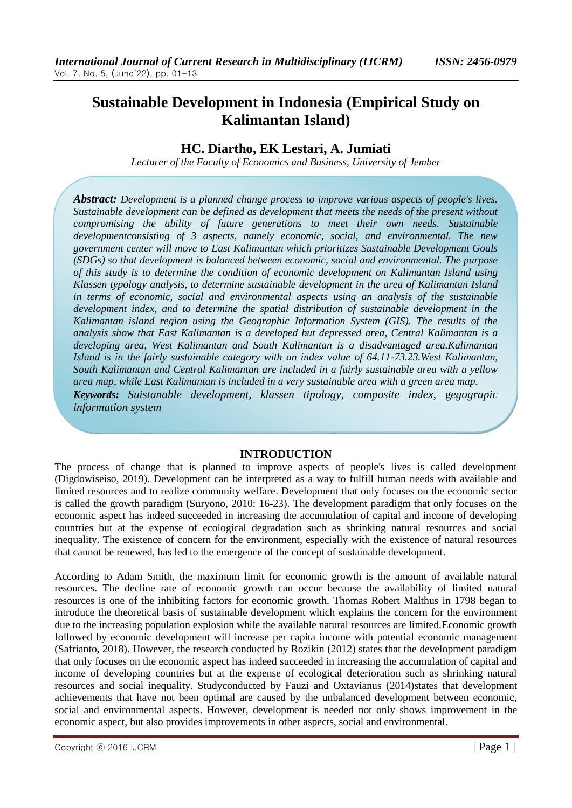# **Sustainable Development in Indonesia (Empirical Study on Kalimantan Island)**

## **HC. Diartho, EK Lestari, A. Jumiati**

*Lecturer of the Faculty of Economics and Business, University of Jember*

*Abstract: Development is a planned change process to improve various aspects of people's lives. Sustainable development can be defined as development that meets the needs of the present without compromising the ability of future generations to meet their own needs. Sustainable developmentconsisting of 3 aspects, namely economic, social, and environmental. The new government center will move to East Kalimantan which prioritizes Sustainable Development Goals (SDGs) so that development is balanced between economic, social and environmental. The purpose of this study is to determine the condition of economic development on Kalimantan Island using Klassen typology analysis, to determine sustainable development in the area of Kalimantan Island in terms of economic, social and environmental aspects using an analysis of the sustainable development index, and to determine the spatial distribution of sustainable development in the Kalimantan island region using the Geographic Information System (GIS). The results of the analysis show that East Kalimantan is a developed but depressed area, Central Kalimantan is a developing area, West Kalimantan and South Kalimantan is a disadvantaged area.Kalimantan Island is in the fairly sustainable category with an index value of 64.11-73.23.West Kalimantan, South Kalimantan and Central Kalimantan are included in a fairly sustainable area with a yellow area map, while East Kalimantan is included in a very sustainable area with a green area map. Keywords: Suistanable development, klassen tipology*, *composite index*, g*egograpic information system*

## **INTRODUCTION**

The process of change that is planned to improve aspects of people's lives is called development (Digdowiseiso, 2019). Development can be interpreted as a way to fulfill human needs with available and limited resources and to realize community welfare. Development that only focuses on the economic sector is called the growth paradigm (Suryono, 2010: 16-23). The development paradigm that only focuses on the economic aspect has indeed succeeded in increasing the accumulation of capital and income of developing countries but at the expense of ecological degradation such as shrinking natural resources and social inequality. The existence of concern for the environment, especially with the existence of natural resources that cannot be renewed, has led to the emergence of the concept of sustainable development.

According to Adam Smith, the maximum limit for economic growth is the amount of available natural resources. The decline rate of economic growth can occur because the availability of limited natural resources is one of the inhibiting factors for economic growth. Thomas Robert Malthus in 1798 began to introduce the theoretical basis of sustainable development which explains the concern for the environment due to the increasing population explosion while the available natural resources are limited.Economic growth followed by economic development will increase per capita income with potential economic management (Safrianto, 2018). However, the research conducted by Rozikin (2012) states that the development paradigm that only focuses on the economic aspect has indeed succeeded in increasing the accumulation of capital and income of developing countries but at the expense of ecological deterioration such as shrinking natural resources and social inequality. Studyconducted by Fauzi and Oxtavianus (2014)states that development achievements that have not been optimal are caused by the unbalanced development between economic, social and environmental aspects. However, development is needed not only shows improvement in the economic aspect, but also provides improvements in other aspects, social and environmental.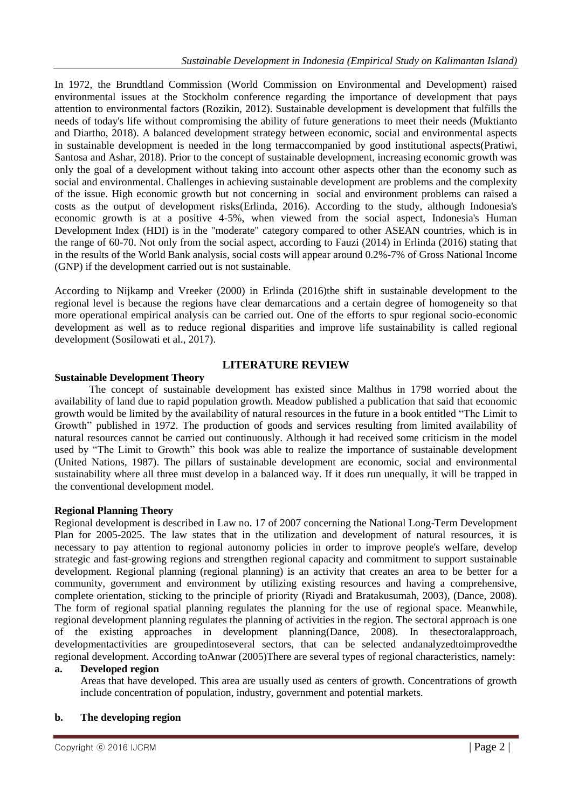In 1972, the Brundtland Commission (World Commission on Environmental and Development) raised environmental issues at the Stockholm conference regarding the importance of development that pays attention to environmental factors (Rozikin, 2012). Sustainable development is development that fulfills the needs of today's life without compromising the ability of future generations to meet their needs (Muktianto and Diartho, 2018). A balanced development strategy between economic, social and environmental aspects in sustainable development is needed in the long termaccompanied by good institutional aspects(Pratiwi, Santosa and Ashar, 2018). Prior to the concept of sustainable development, increasing economic growth was only the goal of a development without taking into account other aspects other than the economy such as social and environmental. Challenges in achieving sustainable development are problems and the complexity of the issue. High economic growth but not concerning in social and environment problems can raised a costs as the output of development risks(Erlinda, 2016). According to the study, although Indonesia's economic growth is at a positive 4-5%, when viewed from the social aspect, Indonesia's Human Development Index (HDI) is in the "moderate" category compared to other ASEAN countries, which is in the range of 60-70. Not only from the social aspect, according to Fauzi (2014) in Erlinda (2016) stating that in the results of the World Bank analysis, social costs will appear around 0.2%-7% of Gross National Income (GNP) if the development carried out is not sustainable.

According to Nijkamp and Vreeker (2000) in Erlinda (2016)the shift in sustainable development to the regional level is because the regions have clear demarcations and a certain degree of homogeneity so that more operational empirical analysis can be carried out. One of the efforts to spur regional socio-economic development as well as to reduce regional disparities and improve life sustainability is called regional development (Sosilowati et al., 2017).

## **LITERATURE REVIEW**

## **Sustainable Development Theory**

The concept of sustainable development has existed since Malthus in 1798 worried about the availability of land due to rapid population growth. Meadow published a publication that said that economic growth would be limited by the availability of natural resources in the future in a book entitled "The Limit to Growth" published in 1972. The production of goods and services resulting from limited availability of natural resources cannot be carried out continuously. Although it had received some criticism in the model used by "The Limit to Growth" this book was able to realize the importance of sustainable development (United Nations, 1987). The pillars of sustainable development are economic, social and environmental sustainability where all three must develop in a balanced way. If it does run unequally, it will be trapped in the conventional development model.

## **Regional Planning Theory**

Regional development is described in Law no. 17 of 2007 concerning the National Long-Term Development Plan for 2005-2025. The law states that in the utilization and development of natural resources, it is necessary to pay attention to regional autonomy policies in order to improve people's welfare, develop strategic and fast-growing regions and strengthen regional capacity and commitment to support sustainable development. Regional planning (regional planning) is an activity that creates an area to be better for a community, government and environment by utilizing existing resources and having a comprehensive, complete orientation, sticking to the principle of priority (Riyadi and Bratakusumah, 2003), (Dance, 2008). The form of regional spatial planning regulates the planning for the use of regional space. Meanwhile, regional development planning regulates the planning of activities in the region. The sectoral approach is one of the existing approaches in development planning(Dance, 2008). In thesectoralapproach, developmentactivities are groupedintoseveral sectors, that can be selected andanalyzedtoimprovedthe regional development. According toAnwar (2005)There are several types of regional characteristics, namely:

## **a. Developed region**

Areas that have developed. This area are usually used as centers of growth. Concentrations of growth include concentration of population, industry, government and potential markets.

## **b. The developing region**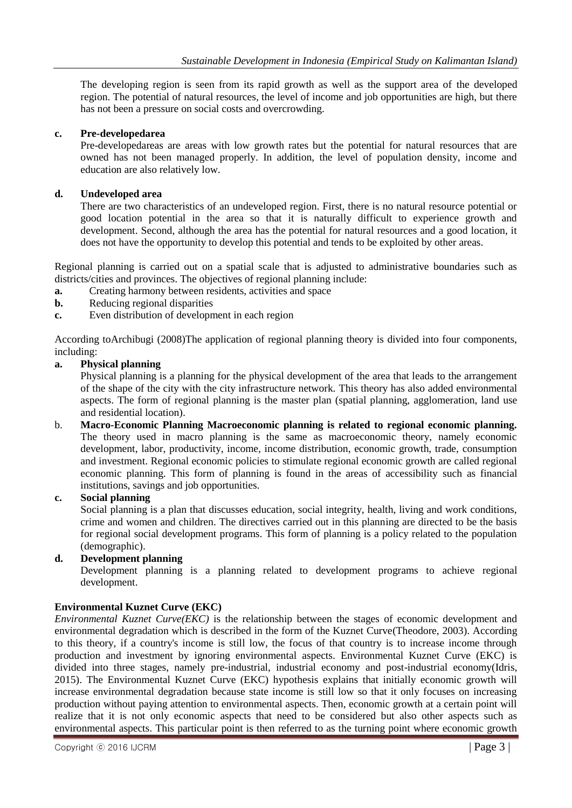The developing region is seen from its rapid growth as well as the support area of the developed region. The potential of natural resources, the level of income and job opportunities are high, but there has not been a pressure on social costs and overcrowding.

## **c. Pre-developedarea**

Pre-developedareas are areas with low growth rates but the potential for natural resources that are owned has not been managed properly. In addition, the level of population density, income and education are also relatively low.

## **d. Undeveloped area**

There are two characteristics of an undeveloped region. First, there is no natural resource potential or good location potential in the area so that it is naturally difficult to experience growth and development. Second, although the area has the potential for natural resources and a good location, it does not have the opportunity to develop this potential and tends to be exploited by other areas.

Regional planning is carried out on a spatial scale that is adjusted to administrative boundaries such as districts/cities and provinces. The objectives of regional planning include:

- **a.** Creating harmony between residents, activities and space
- **b.** Reducing regional disparities
- **c.** Even distribution of development in each region

According toArchibugi (2008)The application of regional planning theory is divided into four components, including:

## **a. Physical planning**

Physical planning is a planning for the physical development of the area that leads to the arrangement of the shape of the city with the city infrastructure network. This theory has also added environmental aspects. The form of regional planning is the master plan (spatial planning, agglomeration, land use and residential location).

b. **Macro-Economic Planning Macroeconomic planning is related to regional economic planning.**  The theory used in macro planning is the same as macroeconomic theory, namely economic development, labor, productivity, income, income distribution, economic growth, trade, consumption and investment. Regional economic policies to stimulate regional economic growth are called regional economic planning. This form of planning is found in the areas of accessibility such as financial institutions, savings and job opportunities.

## **c. Social planning**

Social planning is a plan that discusses education, social integrity, health, living and work conditions, crime and women and children. The directives carried out in this planning are directed to be the basis for regional social development programs. This form of planning is a policy related to the population (demographic).

## **d. Development planning**

Development planning is a planning related to development programs to achieve regional development.

## **Environmental Kuznet Curve (EKC)**

*Environmental Kuznet Curve(EKC)* is the relationship between the stages of economic development and environmental degradation which is described in the form of the Kuznet Curve(Theodore, 2003). According to this theory, if a country's income is still low, the focus of that country is to increase income through production and investment by ignoring environmental aspects. Environmental Kuznet Curve (EKC) is divided into three stages, namely pre-industrial, industrial economy and post-industrial economy(Idris, 2015). The Environmental Kuznet Curve (EKC) hypothesis explains that initially economic growth will increase environmental degradation because state income is still low so that it only focuses on increasing production without paying attention to environmental aspects. Then, economic growth at a certain point will realize that it is not only economic aspects that need to be considered but also other aspects such as environmental aspects. This particular point is then referred to as the turning point where economic growth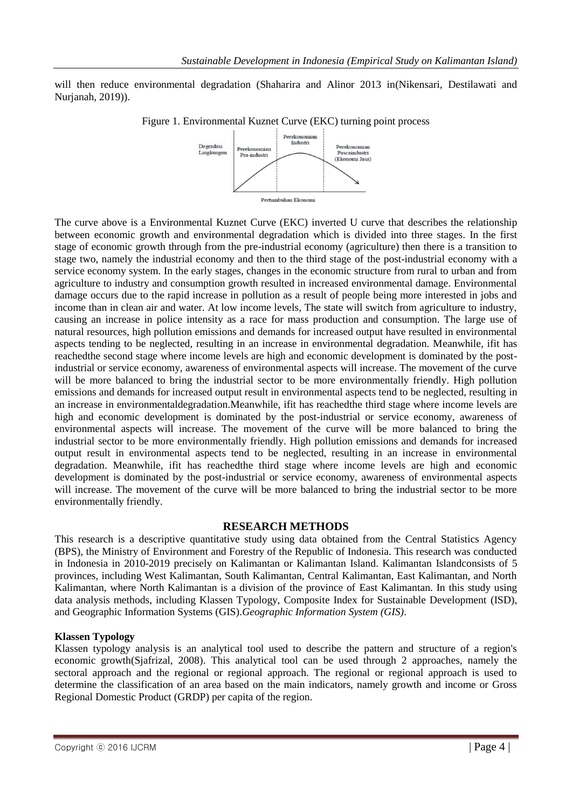will then reduce environmental degradation (Shaharira and Alinor 2013 in(Nikensari, Destilawati and Nurjanah, 2019)).



The curve above is a Environmental Kuznet Curve (EKC) inverted U curve that describes the relationship between economic growth and environmental degradation which is divided into three stages. In the first stage of economic growth through from the pre-industrial economy (agriculture) then there is a transition to stage two, namely the industrial economy and then to the third stage of the post-industrial economy with a service economy system. In the early stages, changes in the economic structure from rural to urban and from agriculture to industry and consumption growth resulted in increased environmental damage. Environmental damage occurs due to the rapid increase in pollution as a result of people being more interested in jobs and income than in clean air and water. At low income levels, The state will switch from agriculture to industry, causing an increase in police intensity as a race for mass production and consumption. The large use of natural resources, high pollution emissions and demands for increased output have resulted in environmental aspects tending to be neglected, resulting in an increase in environmental degradation. Meanwhile, ifit has reachedthe second stage where income levels are high and economic development is dominated by the postindustrial or service economy, awareness of environmental aspects will increase. The movement of the curve will be more balanced to bring the industrial sector to be more environmentally friendly. High pollution emissions and demands for increased output result in environmental aspects tend to be neglected, resulting in an increase in environmentaldegradation.Meanwhile, ifit has reachedthe third stage where income levels are high and economic development is dominated by the post-industrial or service economy, awareness of environmental aspects will increase. The movement of the curve will be more balanced to bring the industrial sector to be more environmentally friendly. High pollution emissions and demands for increased output result in environmental aspects tend to be neglected, resulting in an increase in environmental degradation. Meanwhile, ifit has reachedthe third stage where income levels are high and economic development is dominated by the post-industrial or service economy, awareness of environmental aspects will increase. The movement of the curve will be more balanced to bring the industrial sector to be more environmentally friendly.

## **RESEARCH METHODS**

This research is a descriptive quantitative study using data obtained from the Central Statistics Agency (BPS), the Ministry of Environment and Forestry of the Republic of Indonesia. This research was conducted in Indonesia in 2010-2019 precisely on Kalimantan or Kalimantan Island. Kalimantan Islandconsists of 5 provinces, including West Kalimantan, South Kalimantan, Central Kalimantan, East Kalimantan, and North Kalimantan, where North Kalimantan is a division of the province of East Kalimantan. In this study using data analysis methods, including Klassen Typology, Composite Index for Sustainable Development (ISD), and Geographic Information Systems (GIS).*Geographic Information System (GIS)*.

#### **Klassen Typology**

Klassen typology analysis is an analytical tool used to describe the pattern and structure of a region's economic growth(Sjafrizal, 2008). This analytical tool can be used through 2 approaches, namely the sectoral approach and the regional or regional approach. The regional or regional approach is used to determine the classification of an area based on the main indicators, namely growth and income or Gross Regional Domestic Product (GRDP) per capita of the region.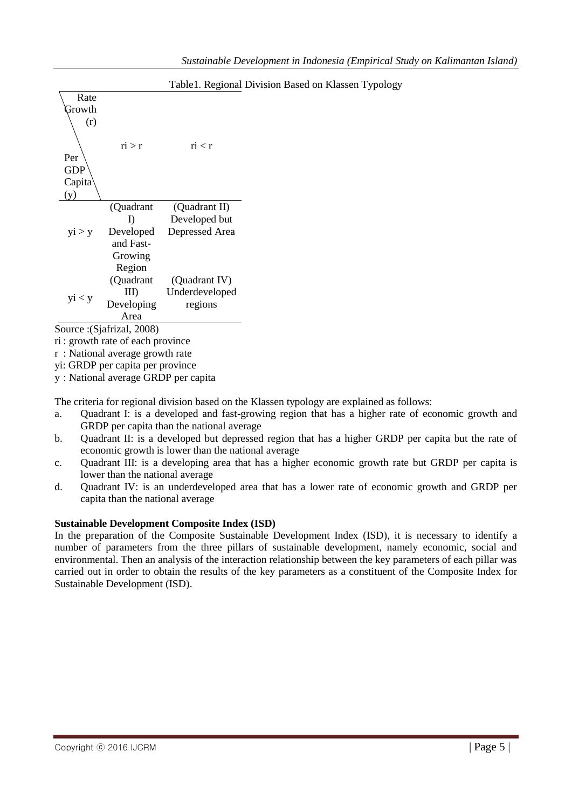| Rate   |            |                |  |  |
|--------|------------|----------------|--|--|
| Growth |            |                |  |  |
| (r)    |            |                |  |  |
|        |            |                |  |  |
|        | ri > r     | ri < r         |  |  |
| Per    |            |                |  |  |
| GDP    |            |                |  |  |
| Capita |            |                |  |  |
| (y)    |            |                |  |  |
|        | (Quadrant  | (Quadrant II)  |  |  |
|        | I)         | Developed but  |  |  |
| yi > y | Developed  | Depressed Area |  |  |
|        | and Fast-  |                |  |  |
|        | Growing    |                |  |  |
|        | Region     |                |  |  |
|        | (Quadrant  | (Quadrant IV)  |  |  |
| yi < y | III)       | Underdeveloped |  |  |
|        | Developing | regions        |  |  |
|        | Area       |                |  |  |
|        |            |                |  |  |

Table1. Regional Division Based on Klassen Typology

Source :(Sjafrizal, 2008)

ri : growth rate of each province

r : National average growth rate

yi: GRDP per capita per province

y : National average GRDP per capita

The criteria for regional division based on the Klassen typology are explained as follows:

- a. Quadrant I: is a developed and fast-growing region that has a higher rate of economic growth and GRDP per capita than the national average
- b. Quadrant II: is a developed but depressed region that has a higher GRDP per capita but the rate of economic growth is lower than the national average
- c. Quadrant III: is a developing area that has a higher economic growth rate but GRDP per capita is lower than the national average
- d. Quadrant IV: is an underdeveloped area that has a lower rate of economic growth and GRDP per capita than the national average

## **Sustainable Development Composite Index (ISD)**

In the preparation of the Composite Sustainable Development Index (ISD), it is necessary to identify a number of parameters from the three pillars of sustainable development, namely economic, social and environmental. Then an analysis of the interaction relationship between the key parameters of each pillar was carried out in order to obtain the results of the key parameters as a constituent of the Composite Index for Sustainable Development (ISD).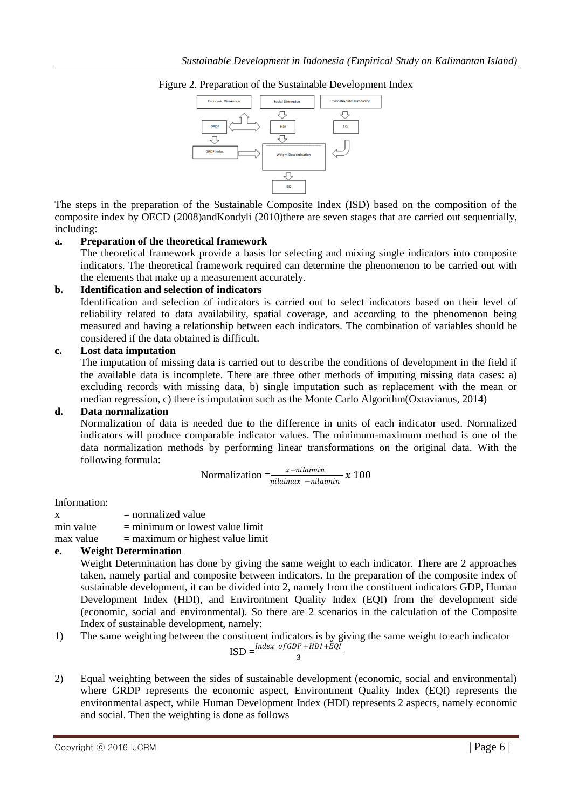

Figure 2. Preparation of the Sustainable Development Index

The steps in the preparation of the Sustainable Composite Index (ISD) based on the composition of the composite index by OECD (2008)andKondyli (2010)there are seven stages that are carried out sequentially, including:

## **a. Preparation of the theoretical framework**

The theoretical framework provide a basis for selecting and mixing single indicators into composite indicators. The theoretical framework required can determine the phenomenon to be carried out with the elements that make up a measurement accurately.

## **b. Identification and selection of indicators**

Identification and selection of indicators is carried out to select indicators based on their level of reliability related to data availability, spatial coverage, and according to the phenomenon being measured and having a relationship between each indicators. The combination of variables should be considered if the data obtained is difficult.

## **c. Lost data imputation**

The imputation of missing data is carried out to describe the conditions of development in the field if the available data is incomplete. There are three other methods of imputing missing data cases: a) excluding records with missing data, b) single imputation such as replacement with the mean or median regression, c) there is imputation such as the Monte Carlo Algorithm(Oxtavianus, 2014)

#### **d. Data normalization**

Normalization of data is needed due to the difference in units of each indicator used. Normalized indicators will produce comparable indicator values. The minimum-maximum method is one of the data normalization methods by performing linear transformations on the original data. With the following formula:

$$
Normalization = \frac{x - \textit{nilaimin}}{\textit{nilaimax} - \textit{nilaimin}} x \ 100
$$

Information:

| X         | $=$ normalized value               |
|-----------|------------------------------------|
| min value | $=$ minimum or lowest value limit  |
| max value | $=$ maximum or highest value limit |

## **e. Weight Determination**

Weight Determination has done by giving the same weight to each indicator. There are 2 approaches taken, namely partial and composite between indicators. In the preparation of the composite index of sustainable development, it can be divided into 2, namely from the constituent indicators GDP, Human Development Index (HDI), and Environtment Quality Index (EQI) from the development side (economic, social and environmental). So there are 2 scenarios in the calculation of the Composite Index of sustainable development, namely:

1) The same weighting between the constituent indicators is by giving the same weight to each indicator EQĪ

$$
ISD = \frac{Index\ of GDP + HDI + B}{3}
$$

2) Equal weighting between the sides of sustainable development (economic, social and environmental) where GRDP represents the economic aspect, Environtment Quality Index (EQI) represents the environmental aspect, while Human Development Index (HDI) represents 2 aspects, namely economic and social. Then the weighting is done as follows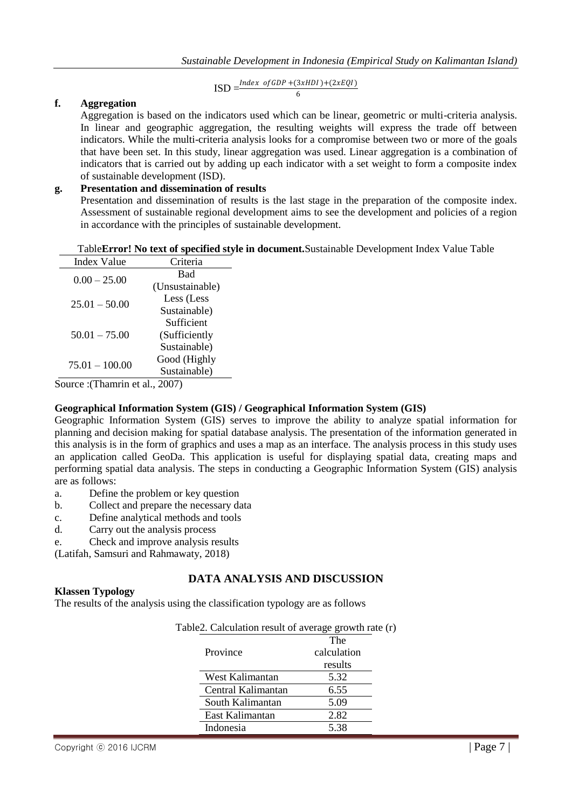$\text{ISD} = \frac{\text{Index of GDP} + (3xHDI) + (2xEQI)}{6}$ 

6

### **f. Aggregation**

Aggregation is based on the indicators used which can be linear, geometric or multi-criteria analysis. In linear and geographic aggregation, the resulting weights will express the trade off between indicators. While the multi-criteria analysis looks for a compromise between two or more of the goals that have been set. In this study, linear aggregation was used. Linear aggregation is a combination of indicators that is carried out by adding up each indicator with a set weight to form a composite index of sustainable development (ISD).

### **g. Presentation and dissemination of results**

Presentation and dissemination of results is the last stage in the preparation of the composite index. Assessment of sustainable regional development aims to see the development and policies of a region in accordance with the principles of sustainable development.

#### Table**Error! No text of specified style in document.**Sustainable Development Index Value Table

| <b>Index Value</b>  | Criteria        |
|---------------------|-----------------|
| $0.00 - 25.00$      | Bad             |
|                     | (Unsustainable) |
| $25.01 - 50.00$     | Less (Less      |
|                     | Sustainable)    |
|                     | Sufficient      |
| $50.01 - 75.00$     | (Sufficiently   |
|                     | Sustainable)    |
| $75.01 - 100.00$    | Good (Highly    |
|                     | Sustainable)    |
| annaa (Thamma at al | つハハ             |

Source :(Thamrin et al., 2007)

#### **Geographical Information System (GIS) / Geographical Information System (GIS)**

Geographic Information System (GIS) serves to improve the ability to analyze spatial information for planning and decision making for spatial database analysis. The presentation of the information generated in this analysis is in the form of graphics and uses a map as an interface. The analysis process in this study uses an application called GeoDa. This application is useful for displaying spatial data, creating maps and performing spatial data analysis. The steps in conducting a Geographic Information System (GIS) analysis are as follows:

- a. Define the problem or key question
- b. Collect and prepare the necessary data
- c. Define analytical methods and tools
- d. Carry out the analysis process
- e. Check and improve analysis results

(Latifah, Samsuri and Rahmawaty, 2018)

## **DATA ANALYSIS AND DISCUSSION**

### **Klassen Typology**

The results of the analysis using the classification typology are as follows

| Table2. Calculation result of average growth rate (r) |             |
|-------------------------------------------------------|-------------|
|                                                       | The         |
| Province                                              | calculation |
|                                                       | results     |
| West Kalimantan                                       | 5.32        |
| Central Kalimantan                                    | 6.55        |
| South Kalimantan                                      | 5.09        |
| East Kalimantan                                       | 2.82        |
| Indonesia                                             | 5 38        |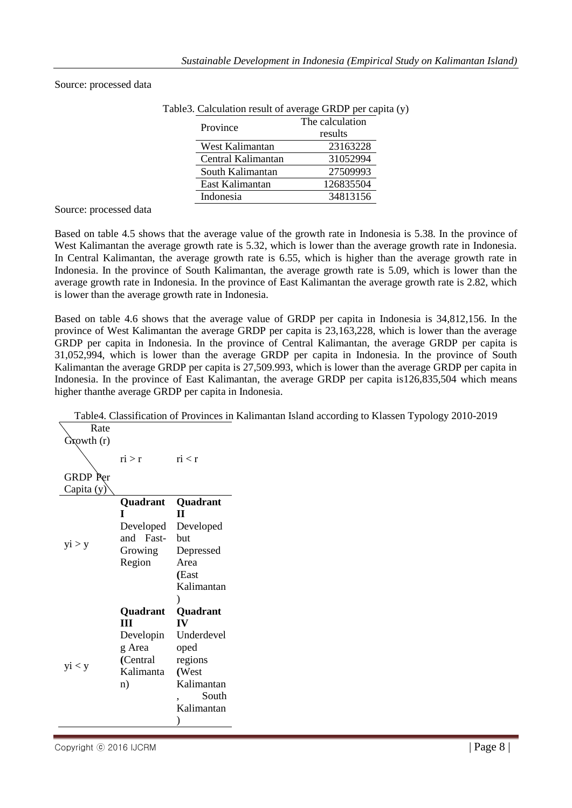|           | Table3. Calculation result of average GRDP per capita (y) |                 |  |
|-----------|-----------------------------------------------------------|-----------------|--|
|           | Province                                                  | The calculation |  |
|           |                                                           | results         |  |
|           | West Kalimantan                                           | 23163228        |  |
|           | Central Kalimantan                                        | 31052994        |  |
|           | South Kalimantan                                          | 27509993        |  |
|           | East Kalimantan                                           | 126835504       |  |
| Indonesia |                                                           | 34813156        |  |
|           |                                                           |                 |  |

#### Source: processed data

Source: processed data

Based on table 4.5 shows that the average value of the growth rate in Indonesia is 5.38. In the province of West Kalimantan the average growth rate is 5.32, which is lower than the average growth rate in Indonesia. In Central Kalimantan, the average growth rate is 6.55, which is higher than the average growth rate in Indonesia. In the province of South Kalimantan, the average growth rate is 5.09, which is lower than the average growth rate in Indonesia. In the province of East Kalimantan the average growth rate is 2.82, which is lower than the average growth rate in Indonesia.

Based on table 4.6 shows that the average value of GRDP per capita in Indonesia is 34,812,156. In the province of West Kalimantan the average GRDP per capita is 23,163,228, which is lower than the average GRDP per capita in Indonesia. In the province of Central Kalimantan, the average GRDP per capita is 31,052,994, which is lower than the average GRDP per capita in Indonesia. In the province of South Kalimantan the average GRDP per capita is 27,509.993, which is lower than the average GRDP per capita in Indonesia. In the province of East Kalimantan, the average GRDP per capita is126,835,504 which means higher thanthe average GRDP per capita in Indonesia.

Table4. Classification of Provinces in Kalimantan Island according to Klassen Typology 2010-2019

| Rate<br>Growth (r) |           |            |
|--------------------|-----------|------------|
|                    |           |            |
|                    |           |            |
|                    | ri > r    | ri < r     |
|                    |           |            |
| <b>GRDP</b> Per    |           |            |
| Capita (y)         |           |            |
|                    | Quadrant  | Quadrant   |
|                    | T         | п          |
|                    | Developed | Developed  |
|                    | and Fast- | hut        |
| yi > y             | Growing   | Depressed  |
|                    | Region    | Area       |
|                    |           | (East      |
|                    |           | Kalimantan |
|                    |           | $\lambda$  |
|                    | Quadrant  | Quadrant   |
|                    | Ш         | IV         |
|                    | Developin | Underdevel |
|                    | g Area    | oped       |
|                    | (Central  | regions    |
| yi < y             | Kalimanta | (West      |
|                    | n)        | Kalimantan |
|                    |           | South      |
|                    |           | Kalimantan |
|                    |           |            |
|                    |           |            |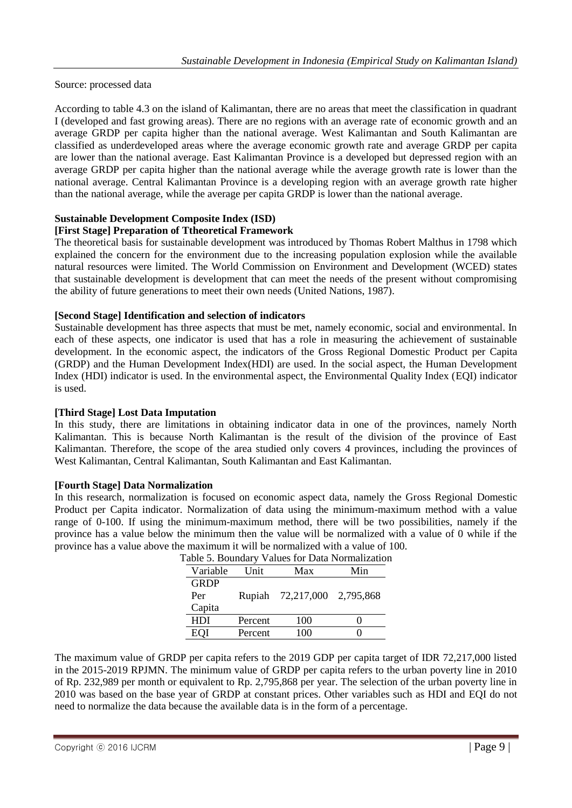Source: processed data

According to table 4.3 on the island of Kalimantan, there are no areas that meet the classification in quadrant I (developed and fast growing areas). There are no regions with an average rate of economic growth and an average GRDP per capita higher than the national average. West Kalimantan and South Kalimantan are classified as underdeveloped areas where the average economic growth rate and average GRDP per capita are lower than the national average. East Kalimantan Province is a developed but depressed region with an average GRDP per capita higher than the national average while the average growth rate is lower than the national average. Central Kalimantan Province is a developing region with an average growth rate higher than the national average, while the average per capita GRDP is lower than the national average.

## **Sustainable Development Composite Index (ISD)**

### **[First Stage] Preparation of Ttheoretical Framework**

The theoretical basis for sustainable development was introduced by Thomas Robert Malthus in 1798 which explained the concern for the environment due to the increasing population explosion while the available natural resources were limited. The World Commission on Environment and Development (WCED) states that sustainable development is development that can meet the needs of the present without compromising the ability of future generations to meet their own needs (United Nations, 1987).

### **[Second Stage] Identification and selection of indicators**

Sustainable development has three aspects that must be met, namely economic, social and environmental. In each of these aspects, one indicator is used that has a role in measuring the achievement of sustainable development. In the economic aspect, the indicators of the Gross Regional Domestic Product per Capita (GRDP) and the Human Development Index(HDI) are used. In the social aspect, the Human Development Index (HDI) indicator is used. In the environmental aspect, the Environmental Quality Index (EQI) indicator is used.

#### **[Third Stage] Lost Data Imputation**

In this study, there are limitations in obtaining indicator data in one of the provinces, namely North Kalimantan. This is because North Kalimantan is the result of the division of the province of East Kalimantan. Therefore, the scope of the area studied only covers 4 provinces, including the provinces of West Kalimantan, Central Kalimantan, South Kalimantan and East Kalimantan.

#### **[Fourth Stage] Data Normalization**

In this research, normalization is focused on economic aspect data, namely the Gross Regional Domestic Product per Capita indicator. Normalization of data using the minimum-maximum method with a value range of 0-100. If using the minimum-maximum method, there will be two possibilities, namely if the province has a value below the minimum then the value will be normalized with a value of 0 while if the province has a value above the maximum it will be normalized with a value of 100.

| Variable    | Unit.   | Max        | Min       |
|-------------|---------|------------|-----------|
| <b>GRDP</b> |         |            |           |
| Per         | Rupiah  | 72,217,000 | 2,795,868 |
| Capita      |         |            |           |
| HDI         | Percent | 100        |           |
| <b>EOI</b>  | Percent | 100        |           |

|  |  | Table 5. Boundary Values for Data Normalization |  |  |  |  |
|--|--|-------------------------------------------------|--|--|--|--|
|--|--|-------------------------------------------------|--|--|--|--|

The maximum value of GRDP per capita refers to the 2019 GDP per capita target of IDR 72,217,000 listed in the 2015-2019 RPJMN. The minimum value of GRDP per capita refers to the urban poverty line in 2010 of Rp. 232,989 per month or equivalent to Rp. 2,795,868 per year. The selection of the urban poverty line in 2010 was based on the base year of GRDP at constant prices. Other variables such as HDI and EQI do not need to normalize the data because the available data is in the form of a percentage.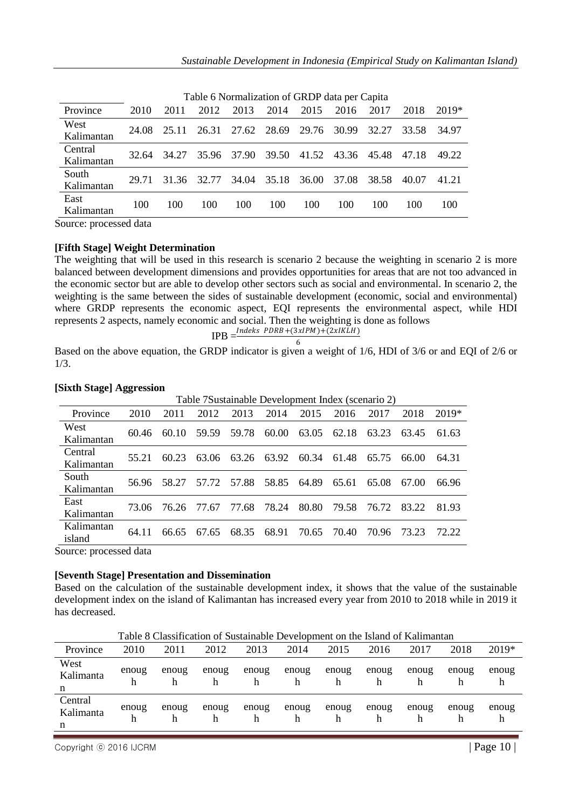|                       |       |       |       | Table 6 Normalization of GRDP data per Capita |             |        |       |       |       |       |
|-----------------------|-------|-------|-------|-----------------------------------------------|-------------|--------|-------|-------|-------|-------|
| Province              | 2010  | 2011  | 2012  | 2013                                          | 2014        | 2015   | 2016  | 2017  | 2018  | 2019* |
| West<br>Kalimantan    | 24.08 | 25.11 | 26.31 | 27.62 28.69                                   |             | 29.76  | 30.99 | 32.27 | 33.58 | 34.97 |
| Central<br>Kalimantan | 32.64 | 34.27 | 35.96 | 37.90                                         | 39.50       | 41.52  | 43.36 | 45.48 | 47.18 | 49.22 |
| South<br>Kalimantan   | 29.71 | 31.36 | 32.77 |                                               | 34.04 35.18 | -36.00 | 37.08 | 38.58 | 40.07 | 41.21 |
| East<br>Kalimantan    | 100   | 100   | 100   | 100                                           | 100         | 100    | 100   | 100   | 100   | 100   |
|                       | - -   |       |       |                                               |             |        |       |       |       |       |

Table 6 Normalization of GRDP data per Capita

Source: processed data

#### **[Fifth Stage] Weight Determination**

The weighting that will be used in this research is scenario 2 because the weighting in scenario 2 is more balanced between development dimensions and provides opportunities for areas that are not too advanced in the economic sector but are able to develop other sectors such as social and environmental. In scenario 2, the weighting is the same between the sides of sustainable development (economic, social and environmental) where GRDP represents the economic aspect, EQI represents the environmental aspect, while HDI represents 2 aspects, namely economic and social. Then the weighting is done as follows

$$
IPB = \frac{Index\ PDRB + (3xIPM) + (2xIKLH)}{6}
$$

Based on the above equation, the GRDP indicator is given a weight of 1/6, HDI of 3/6 or and EQI of 2/6 or 1/3.

|            |       |       |       | Table 7Sustainable Development Index (scenario 2) |       |       |       |       |       |        |
|------------|-------|-------|-------|---------------------------------------------------|-------|-------|-------|-------|-------|--------|
| Province   | 2010  | 2011  | 2012  | 2013                                              | 2014  | 2015  | 2016  | 2017  | 2018  | 2019*  |
| West       | 60.46 | 60.10 | 59.59 | 59.78                                             | 60.00 | 63.05 | 62.18 | 63.23 | 63.45 | 61.63  |
| Kalimantan |       |       |       |                                                   |       |       |       |       |       |        |
| Central    | 55.21 | 60.23 | 63.06 | 63.26                                             | 63.92 | 60.34 | 61.48 | 65.75 | 66.00 | 64.31  |
| Kalimantan |       |       |       |                                                   |       |       |       |       |       |        |
| South      | 56.96 | 58.27 | 57.72 | 57.88                                             | 58.85 | 64.89 | 65.61 | 65.08 | 67.00 | 66.96  |
| Kalimantan |       |       |       |                                                   |       |       |       |       |       |        |
| East       |       |       |       |                                                   |       |       |       |       |       |        |
| Kalimantan | 73.06 | 76.26 | 77.67 | 77.68                                             | 78.24 | 80.80 | 79.58 | 76.72 | 83.22 | 81.93  |
| Kalimantan |       |       |       |                                                   |       |       |       |       |       | 72.22. |
| island     | 64 11 | 66.65 | 67.65 | 68.35                                             | 68.91 | 70.65 | 70.40 | 70.96 | 73.23 |        |

#### **[Sixth Stage] Aggression**

Source: processed data

#### **[Seventh Stage] Presentation and Dissemination**

Based on the calculation of the sustainable development index, it shows that the value of the sustainable development index on the island of Kalimantan has increased every year from 2010 to 2018 while in 2019 it has decreased.

|                           |            | Table 8 Classification of Sustainable Development on the Island of Kalimantan |            |            |            |            |            |            |       |            |
|---------------------------|------------|-------------------------------------------------------------------------------|------------|------------|------------|------------|------------|------------|-------|------------|
| Province                  | 2010       | 2011                                                                          | 2012       | 2013       | 2014       | 2015       | 2016       | 2017       | 2018  | 2019*      |
| West<br>Kalimanta<br>n    | enoug<br>h | enoug<br>h                                                                    | enoug      | enoug<br>h | enoug<br>h | enoug<br>h | enoug<br>h | enoug<br>h | enoug | enoug<br>h |
| Central<br>Kalimanta<br>n | enoug<br>h | enoug<br>h                                                                    | enoug<br>h | enoug<br>h | enoug<br>h | enoug<br>h | enoug<br>h | enoug<br>h | enoug | enoug<br>h |

Table 8 Classification of Sustainable Development on the Island of Kalimantan

Copyright  $\odot$  2016 IJCRM  $\parallel$  Page 10  $\parallel$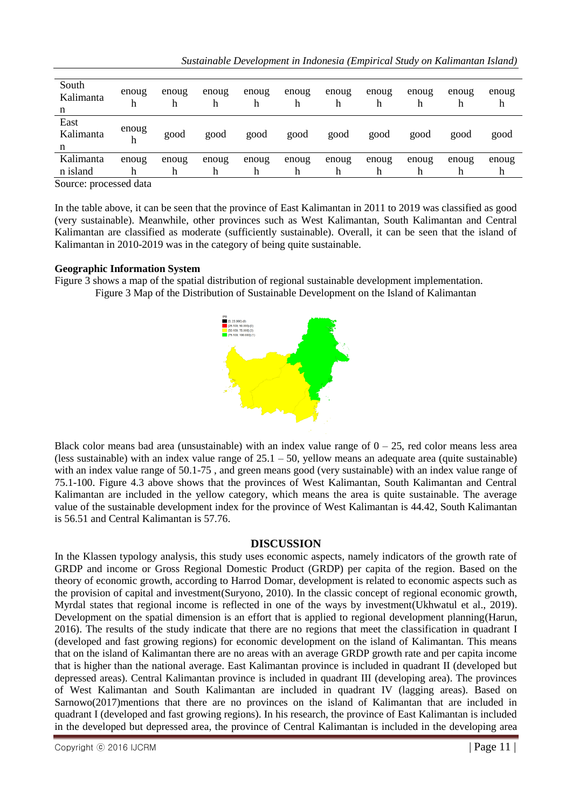|  | Sustainable Development in Indonesia (Empirical Study on Kalimantan Island) |
|--|-----------------------------------------------------------------------------|
|--|-----------------------------------------------------------------------------|

| South<br>Kalimanta<br>n | enoug<br>h | enoug<br>h | enoug<br>h | enoug<br>h | enoug<br>h | enoug<br>h | enoug | enoug<br>h | enoug<br>h | enoug<br>h |
|-------------------------|------------|------------|------------|------------|------------|------------|-------|------------|------------|------------|
| East<br>Kalimanta<br>n  | enoug<br>h | good       | good       | good       | good       | good       | good  | good       | good       | good       |
| Kalimanta               | enoug      | enoug      | enoug      | enoug      | enoug      | enoug      | enoug | enoug      | enoug      | enoug      |
| n island                | h          | h          | h          | h          | h          | h          |       | h          |            | h          |

Source: processed data

In the table above, it can be seen that the province of East Kalimantan in 2011 to 2019 was classified as good (very sustainable). Meanwhile, other provinces such as West Kalimantan, South Kalimantan and Central Kalimantan are classified as moderate (sufficiently sustainable). Overall, it can be seen that the island of Kalimantan in 2010-2019 was in the category of being quite sustainable.

### **Geographic Information System**

Figure 3 shows a map of the spatial distribution of regional sustainable development implementation. Figure 3 Map of the Distribution of Sustainable Development on the Island of Kalimantan



Black color means bad area (unsustainable) with an index value range of  $0 - 25$ , red color means less area (less sustainable) with an index value range of  $25.1 - 50$ , yellow means an adequate area (quite sustainable) with an index value range of 50.1-75 , and green means good (very sustainable) with an index value range of 75.1-100. Figure 4.3 above shows that the provinces of West Kalimantan, South Kalimantan and Central Kalimantan are included in the yellow category, which means the area is quite sustainable. The average value of the sustainable development index for the province of West Kalimantan is 44.42, South Kalimantan is 56.51 and Central Kalimantan is 57.76.

## **DISCUSSION**

In the Klassen typology analysis, this study uses economic aspects, namely indicators of the growth rate of GRDP and income or Gross Regional Domestic Product (GRDP) per capita of the region. Based on the theory of economic growth, according to Harrod Domar, development is related to economic aspects such as the provision of capital and investment(Suryono, 2010). In the classic concept of regional economic growth, Myrdal states that regional income is reflected in one of the ways by investment(Ukhwatul et al., 2019). Development on the spatial dimension is an effort that is applied to regional development planning(Harun, 2016). The results of the study indicate that there are no regions that meet the classification in quadrant I (developed and fast growing regions) for economic development on the island of Kalimantan. This means that on the island of Kalimantan there are no areas with an average GRDP growth rate and per capita income that is higher than the national average. East Kalimantan province is included in quadrant II (developed but depressed areas). Central Kalimantan province is included in quadrant III (developing area). The provinces of West Kalimantan and South Kalimantan are included in quadrant IV (lagging areas). Based on Sarnowo(2017)mentions that there are no provinces on the island of Kalimantan that are included in quadrant I (developed and fast growing regions). In his research, the province of East Kalimantan is included in the developed but depressed area, the province of Central Kalimantan is included in the developing area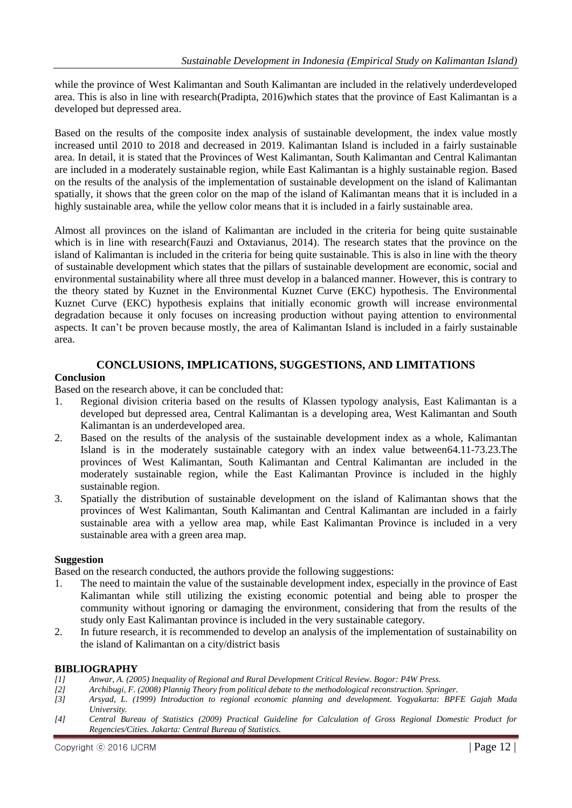while the province of West Kalimantan and South Kalimantan are included in the relatively underdeveloped area. This is also in line with research(Pradipta, 2016)which states that the province of East Kalimantan is a developed but depressed area.

Based on the results of the composite index analysis of sustainable development, the index value mostly increased until 2010 to 2018 and decreased in 2019. Kalimantan Island is included in a fairly sustainable area. In detail, it is stated that the Provinces of West Kalimantan, South Kalimantan and Central Kalimantan are included in a moderately sustainable region, while East Kalimantan is a highly sustainable region. Based on the results of the analysis of the implementation of sustainable development on the island of Kalimantan spatially, it shows that the green color on the map of the island of Kalimantan means that it is included in a highly sustainable area, while the yellow color means that it is included in a fairly sustainable area.

Almost all provinces on the island of Kalimantan are included in the criteria for being quite sustainable which is in line with research(Fauzi and Oxtavianus, 2014). The research states that the province on the island of Kalimantan is included in the criteria for being quite sustainable. This is also in line with the theory of sustainable development which states that the pillars of sustainable development are economic, social and environmental sustainability where all three must develop in a balanced manner. However, this is contrary to the theory stated by Kuznet in the Environmental Kuznet Curve (EKC) hypothesis. The Environmental Kuznet Curve (EKC) hypothesis explains that initially economic growth will increase environmental degradation because it only focuses on increasing production without paying attention to environmental aspects. It can't be proven because mostly, the area of Kalimantan Island is included in a fairly sustainable area.

## **CONCLUSIONS, IMPLICATIONS, SUGGESTIONS, AND LIMITATIONS**

## **Conclusion**

Based on the research above, it can be concluded that:

- 1. Regional division criteria based on the results of Klassen typology analysis, East Kalimantan is a developed but depressed area, Central Kalimantan is a developing area, West Kalimantan and South Kalimantan is an underdeveloped area.
- 2. Based on the results of the analysis of the sustainable development index as a whole, Kalimantan Island is in the moderately sustainable category with an index value between64.11-73.23.The provinces of West Kalimantan, South Kalimantan and Central Kalimantan are included in the moderately sustainable region, while the East Kalimantan Province is included in the highly sustainable region.
- 3. Spatially the distribution of sustainable development on the island of Kalimantan shows that the provinces of West Kalimantan, South Kalimantan and Central Kalimantan are included in a fairly sustainable area with a yellow area map, while East Kalimantan Province is included in a very sustainable area with a green area map.

#### **Suggestion**

Based on the research conducted, the authors provide the following suggestions:

- 1. The need to maintain the value of the sustainable development index, especially in the province of East Kalimantan while still utilizing the existing economic potential and being able to prosper the community without ignoring or damaging the environment, considering that from the results of the study only East Kalimantan province is included in the very sustainable category.
- 2. In future research, it is recommended to develop an analysis of the implementation of sustainability on the island of Kalimantan on a city/district basis

## **BIBLIOGRAPHY**

- *[1] Anwar, A. (2005) Inequality of Regional and Rural Development Critical Review. Bogor: P4W Press.*
- *[2] Archibugi, F. (2008) Plannig Theory from political debate to the methodological reconstruction. Springer.*
- *[3] Arsyad, L. (1999) Introduction to regional economic planning and development. Yogyakarta: BPFE Gajah Mada University.*
- *[4] Central Bureau of Statistics (2009) Practical Guideline for Calculation of Gross Regional Domestic Product for Regencies/Cities. Jakarta: Central Bureau of Statistics.*